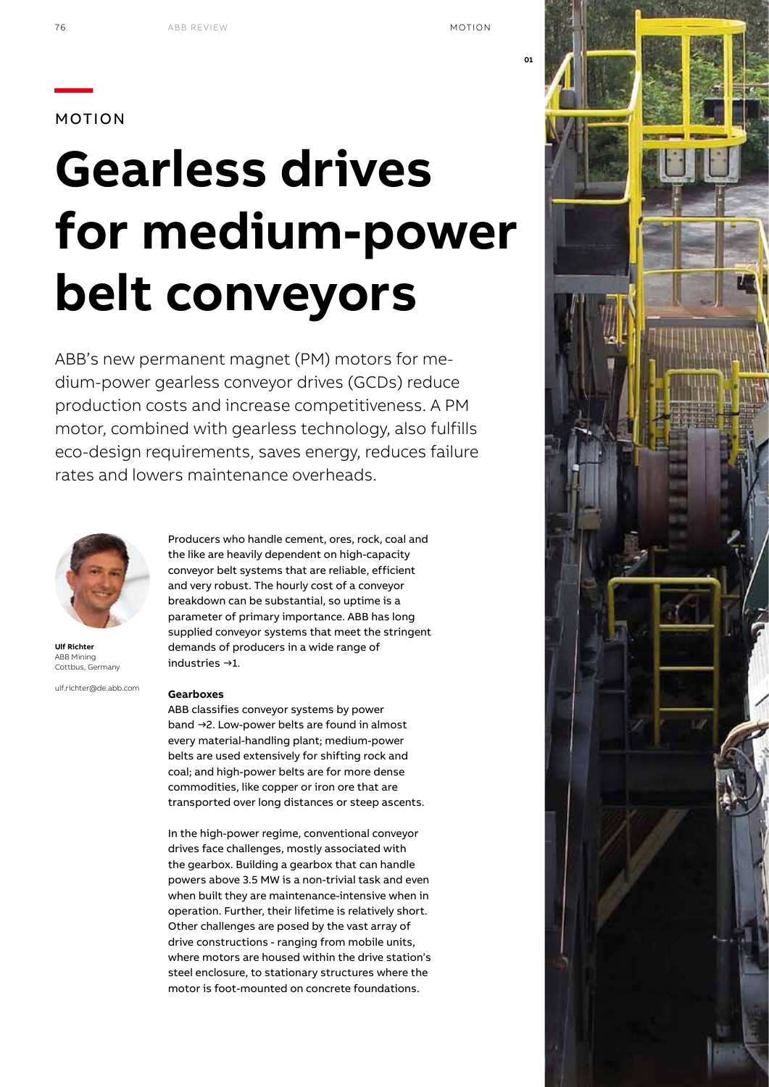# **—**MOTION

# **Gearless drives for medium-power belt conveyors**

ABB's new permanent magnet (PM) motors for medium-power gearless conveyor drives (GCDs) reduce production costs and increase competitiveness. A PM motor, combined with gearless technology, also fulfills eco-design requirements, saves energy, reduces failure rates and lowers maintenance overheads.



**Ulf Richter** ABB Mining Cottbus, Germany

ulf.richter@de.abb.com

# **Gearboxes**

industries →1.

ABB classifies conveyor systems by power band →2. Low-power belts are found in almost every material-handling plant; medium-power belts are used extensively for shifting rock and coal; and high-power belts are for more dense commodities, like copper or iron ore that are transported over long distances or steep ascents.

demands of producers in a wide range of

Producers who handle cement, ores, rock, coal and the like are heavily dependent on high-capacity conveyor belt systems that are reliable, efficient and very robust. The hourly cost of a conveyor breakdown can be substantial, so uptime is a parameter of primary importance. ABB has long supplied conveyor systems that meet the stringent

In the high-power regime, conventional conveyor drives face challenges, mostly associated with the gearbox. Building a gearbox that can handle powers above 3.5 MW is a non-trivial task and even when built they are maintenance-intensive when in operation. Further, their lifetime is relatively short. Other challenges are posed by the vast array of drive constructions - ranging from mobile units, where motors are housed within the drive station's steel enclosure, to stationary structures where the motor is foot-mounted on concrete foundations.

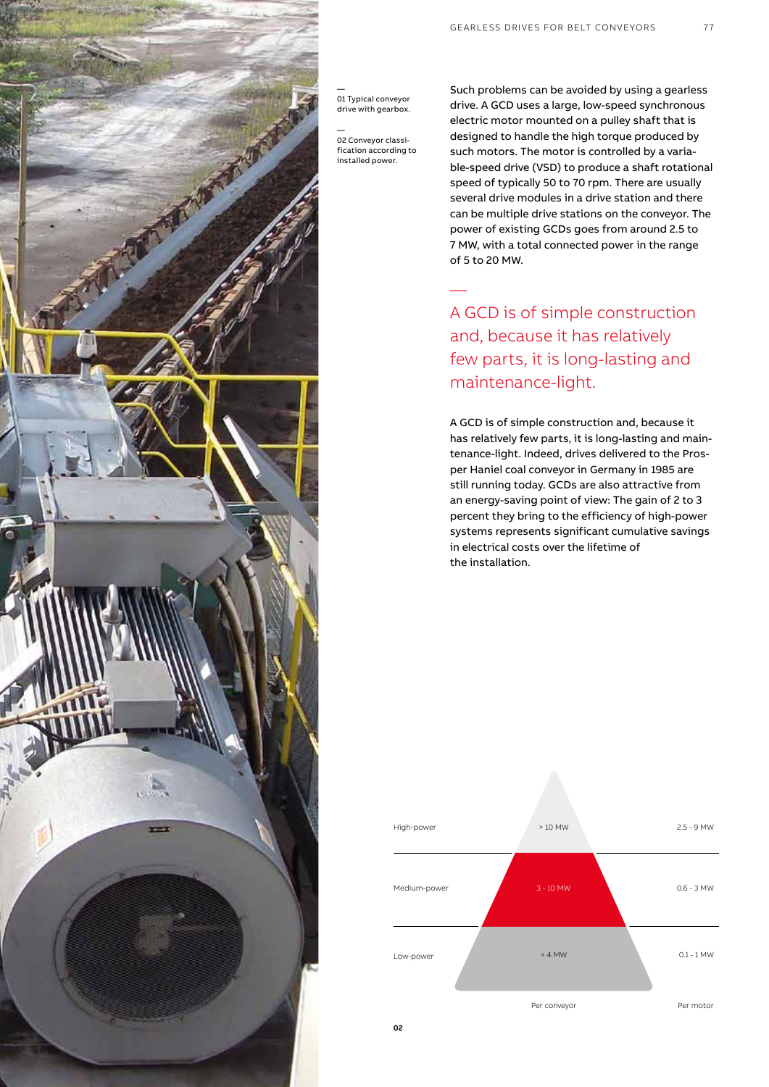

— 01 Typical conveyor drive with gearbox.

— 02 Conveyor classification according to installed power.

—

Such problems can be avoided by using a gearless drive. A GCD uses a large, low-speed synchronous electric motor mounted on a pulley shaft that is designed to handle the high torque produced by such motors. The motor is controlled by a variable-speed drive (VSD) to produce a shaft rotational speed of typically 50 to 70 rpm. There are usually several drive modules in a drive station and there can be multiple drive stations on the conveyor. The power of existing GCDs goes from around 2.5 to 7 MW, with a total connected power in the range of 5 to 20 MW.

A GCD is of simple construction and, because it has relatively few parts, it is long-lasting and maintenance-light.

A GCD is of simple construction and, because it has relatively few parts, it is long-lasting and maintenance-light. Indeed, drives delivered to the Prosper Haniel coal conveyor in Germany in 1985 are still running today. GCDs are also attractive from an energy-saving point of view: The gain of 2 to 3 percent they bring to the efficiency of high-power systems represents significant cumulative savings in electrical costs over the lifetime of the installation.

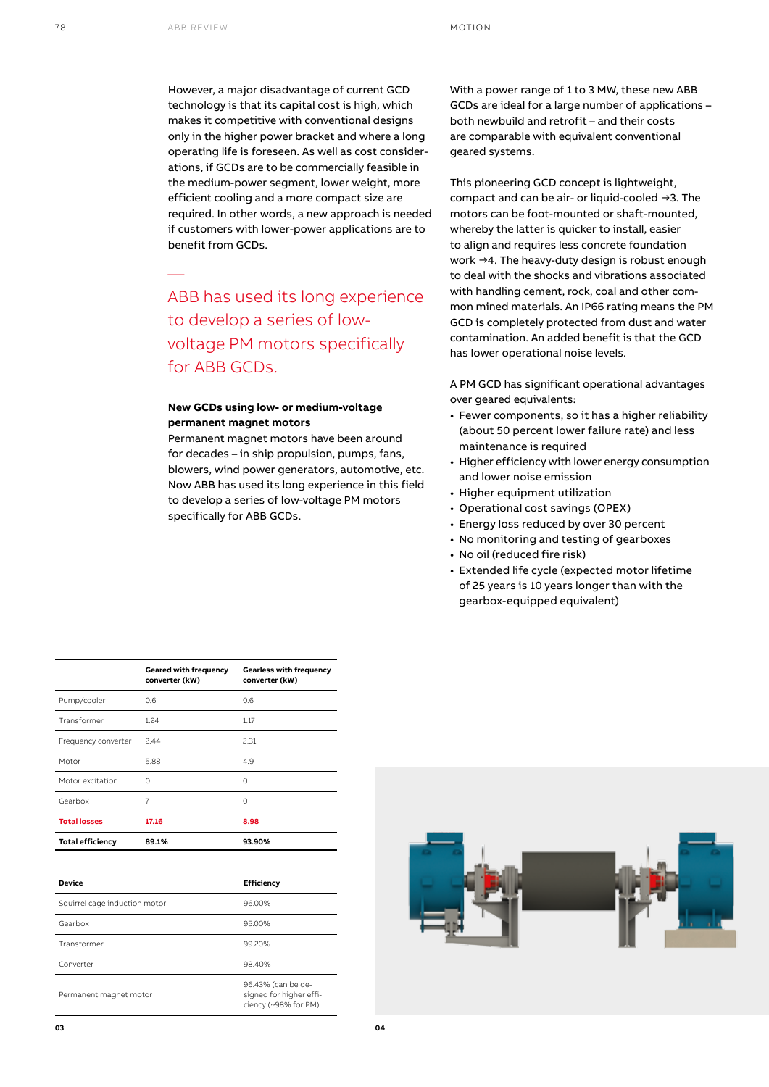—

However, a major disadvantage of current GCD technology is that its capital cost is high, which makes it competitive with conventional designs only in the higher power bracket and where a long operating life is foreseen. As well as cost considerations, if GCDs are to be commercially feasible in the medium-power segment, lower weight, more efficient cooling and a more compact size are required. In other words, a new approach is needed if customers with lower-power applications are to benefit from GCDs.

ABB has used its long experience to develop a series of lowvoltage PM motors specifically for ABB GCDs.

### **New GCDs using low- or medium-voltage permanent magnet motors**

Permanent magnet motors have been around for decades – in ship propulsion, pumps, fans, blowers, wind power generators, automotive, etc. Now ABB has used its long experience in this field to develop a series of low-voltage PM motors specifically for ABB GCDs.

With a power range of 1 to 3 MW, these new ABB GCDs are ideal for a large number of applications – both newbuild and retrofit – and their costs are comparable with equivalent conventional geared systems.

This pioneering GCD concept is lightweight, compact and can be air- or liquid-cooled →3. The motors can be foot-mounted or shaft-mounted, whereby the latter is quicker to install, easier to align and requires less concrete foundation work →4. The heavy-duty design is robust enough to deal with the shocks and vibrations associated with handling cement, rock, coal and other common mined materials. An IP66 rating means the PM GCD is completely protected from dust and water contamination. An added benefit is that the GCD has lower operational noise levels.

A PM GCD has significant operational advantages over geared equivalents:

- Fewer components, so it has a higher reliability (about 50 percent lower failure rate) and less maintenance is required
- Higher efficiency with lower energy consumption and lower noise emission
- Higher equipment utilization
- Operational cost savings (OPEX)
- Energy loss reduced by over 30 percent
- No monitoring and testing of gearboxes
- No oil (reduced fire risk)
- Extended life cycle (expected motor lifetime of 25 years is 10 years longer than with the gearbox-equipped equivalent)

|                         | Geared with frequency<br>converter (kW) | <b>Gearless with frequency</b><br>converter (kW) |
|-------------------------|-----------------------------------------|--------------------------------------------------|
| Pump/cooler             | 0.6                                     | 0.6                                              |
| Transformer             | 1.24                                    | 1.17                                             |
| Frequency converter     | 2.44                                    | 2.31                                             |
| Motor                   | 5.88                                    | 4.9                                              |
| Motor excitation        | Ω                                       | $\Omega$                                         |
| Gearbox                 | 7                                       | $\Omega$                                         |
| <b>Total losses</b>     | 17.16                                   | 8.98                                             |
| <b>Total efficiency</b> | 89.1%                                   | 93.90%                                           |
|                         |                                         |                                                  |

| Device                        | <b>Efficiency</b>                                                     |
|-------------------------------|-----------------------------------------------------------------------|
| Squirrel cage induction motor | 96.00%                                                                |
| Gearbox                       | 95.00%                                                                |
| Transformer                   | 99.20%                                                                |
| Converter                     | 98.40%                                                                |
| Permanent magnet motor        | 96.43% (can be de-<br>signed for higher effi-<br>ciency (~98% for PM) |

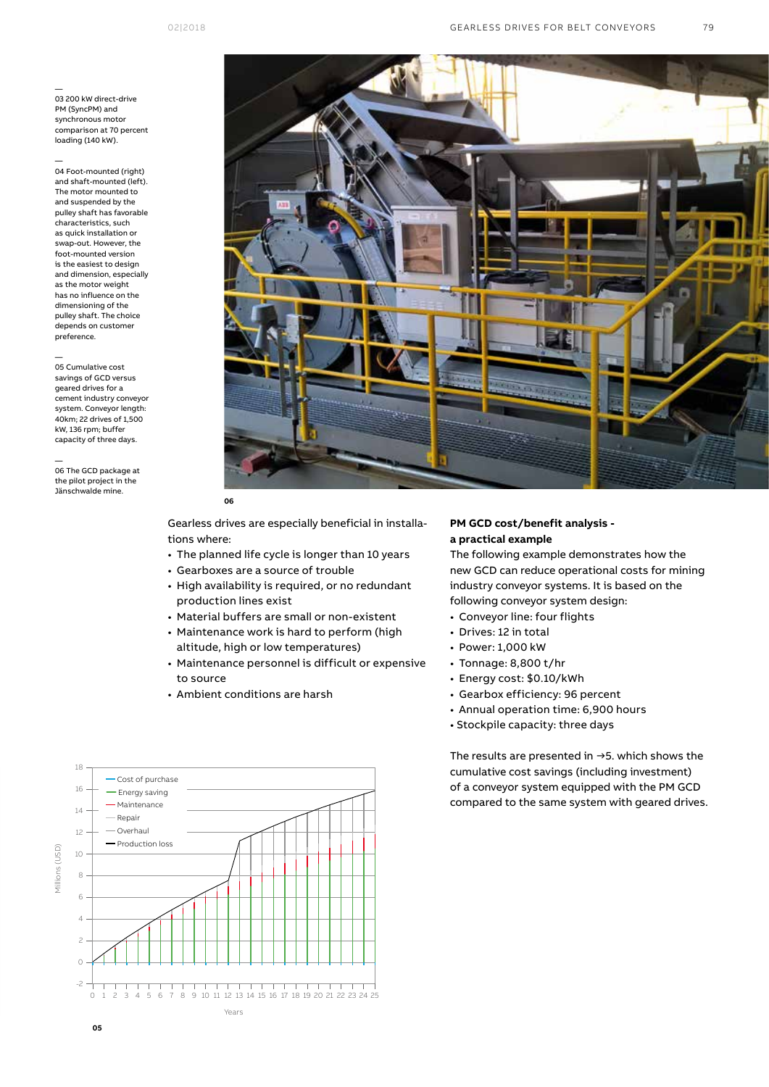— 03 200 kW direct-drive PM (SyncPM) and synchronous motor comparison at 70 percent loading (140 kW).

— 04 Foot-mounted (right) and shaft-mounted (left). The motor mounted to and suspended by the pulley shaft has favorable characteristics, such as quick installation or swap-out. However, the foot-mounted version is the easiest to design and dimension, especially as the motor weight has no influence on the dimensioning of the pulley shaft. The choice depends on customer preference.

— 05 Cumulative cost savings of GCD versus geared drives for a cement industry conveyor system. Conveyor length: 40km; 22 drives of 1,500 kW, 136 rpm; buffer capacity of three days.

— 06 The GCD package at the pilot project in the Jänschwalde mine.



Gearless drives are especially beneficial in installations where:

- The planned life cycle is longer than 10 years
- Gearboxes are a source of trouble
- High availability is required, or no redundant production lines exist
- Material buffers are small or non-existent
- Maintenance work is hard to perform (high altitude, high or low temperatures)
- Maintenance personnel is difficult or expensive to source
- Ambient conditions are harsh

### **PM GCD cost/benefit analysis a practical example**

The following example demonstrates how the new GCD can reduce operational costs for mining industry conveyor systems. It is based on the following conveyor system design:

- Conveyor line: four flights
- Drives: 12 in total
- Power: 1,000 kW
- Tonnage: 8,800 t/hr
- Energy cost: \$0.10/kWh
- Gearbox efficiency: 96 percent
- Annual operation time: 6,900 hours
- Stockpile capacity: three days

The results are presented in →5. which shows the cumulative cost savings (including investment) of a conveyor system equipped with the PM GCD compared to the same system with geared drives.

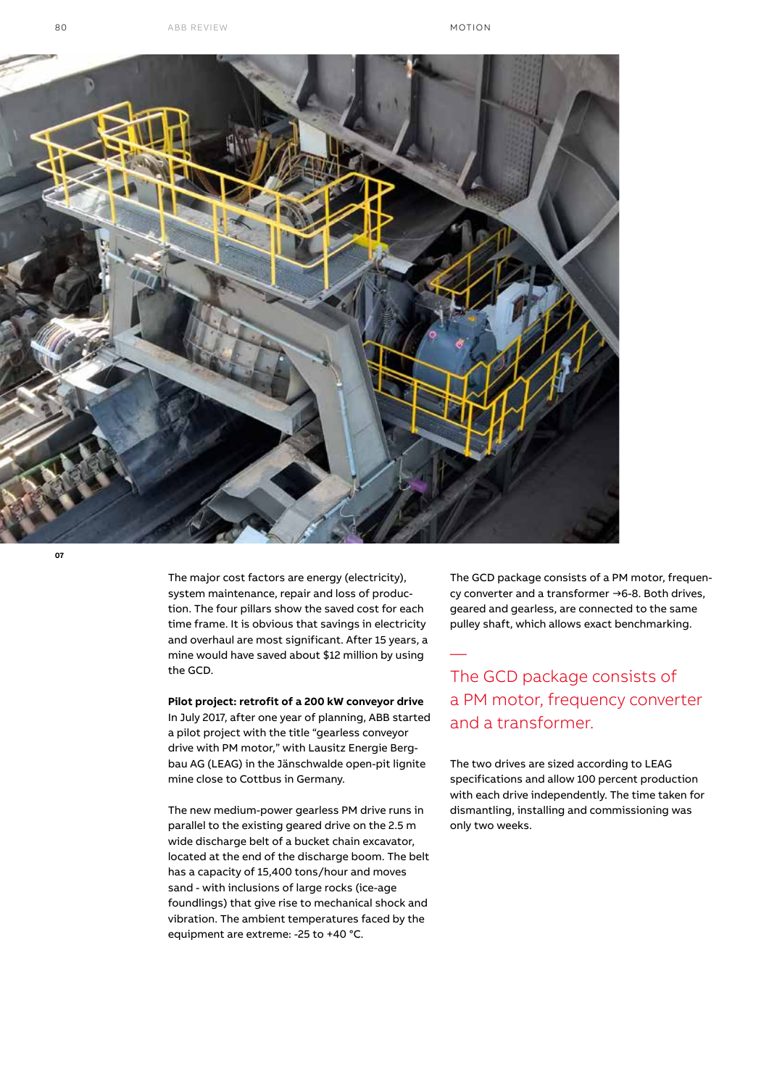

**07**

The major cost factors are energy (electricity), system maintenance, repair and loss of production. The four pillars show the saved cost for each time frame. It is obvious that savings in electricity and overhaul are most significant. After 15 years, a mine would have saved about \$12 million by using the GCD.

#### **Pilot project: retrofit of a 200 kW conveyor drive**

In July 2017, after one year of planning, ABB started a pilot project with the title "gearless conveyor drive with PM motor," with Lausitz Energie Bergbau AG (LEAG) in the Jänschwalde open-pit lignite mine close to Cottbus in Germany.

The new medium-power gearless PM drive runs in parallel to the existing geared drive on the 2.5 m wide discharge belt of a bucket chain excavator, located at the end of the discharge boom. The belt has a capacity of 15,400 tons/hour and moves sand - with inclusions of large rocks (ice-age foundlings) that give rise to mechanical shock and vibration. The ambient temperatures faced by the equipment are extreme: -25 to +40 °C.

The GCD package consists of a PM motor, frequency converter and a transformer →6-8. Both drives, geared and gearless, are connected to the same pulley shaft, which allows exact benchmarking.

# The GCD package consists of a PM motor, frequency converter and a transformer.

—

The two drives are sized according to LEAG specifications and allow 100 percent production with each drive independently. The time taken for dismantling, installing and commissioning was only two weeks.